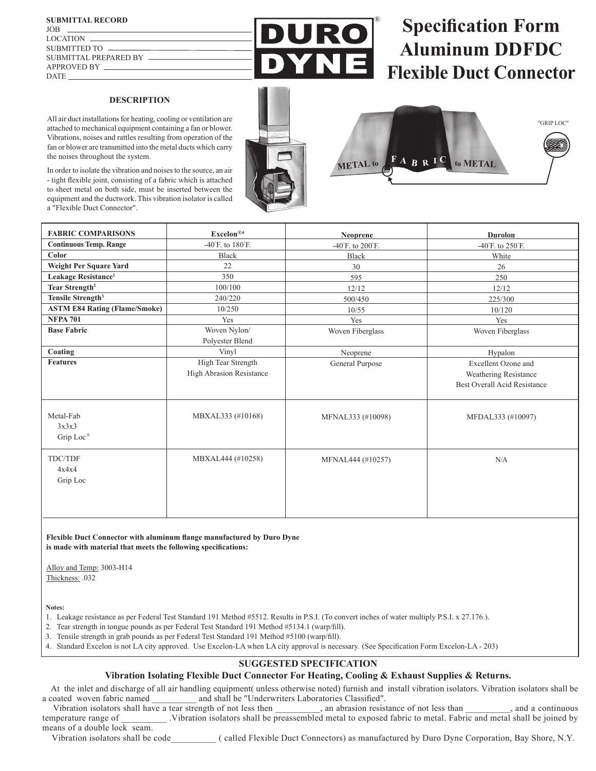## **DESCRIPTION**

All air duct installations for heating, cooling or ventilation are attached to mechanical equipment containing a fan or blower. Vibrations, noises and rattles resulting from operation of the fan or blower are transmitted into the metal ducts which carry the noises throughout the system.

In order to isolate the vibration and noises to the source, an air - tight flexible joint, consisting of a fabric which is attached to sheet metal on both side, must be inserted between the equipment and the ductwork. This vibration isolator is called a "Flexible Duct Connector".

®

R

# **Specification Form Aluminum DDFDC Flexible Duct Connector**





| <b>FABRIC COMPARISONS</b>            | Excelon <sup>®4</sup>                | Neoprene                             | <b>Durolon</b>                      |  |
|--------------------------------------|--------------------------------------|--------------------------------------|-------------------------------------|--|
| <b>Continuous Temp. Range</b>        | $-40^{\circ}$ F. to $180^{\circ}$ F. | $-40^{\circ}$ F. to $200^{\circ}$ F. | -40°F. to $250^{\circ}$ F.          |  |
| Color                                | <b>Black</b>                         | <b>Black</b>                         | White                               |  |
| Weight Per Square Yard               | 22                                   | 30                                   | 26                                  |  |
| Leakage Resistance <sup>1</sup>      | 350                                  | 595                                  | 250                                 |  |
| Tear Strength <sup>2</sup>           | 100/100                              | 12/12                                | 12/12                               |  |
| Tensile Strength <sup>3</sup>        | 240/220                              | 500/450                              | 225/300                             |  |
| <b>ASTM E84 Rating (Flame/Smoke)</b> | 10/250                               | 10/55                                | 10/120                              |  |
| <b>NFPA 701</b>                      | Yes                                  | Yes                                  | Yes                                 |  |
| <b>Base Fabric</b>                   | Woven Nylon/                         | Woven Fiberglass                     | Woven Fiberglass                    |  |
|                                      | Polyester Blend                      |                                      |                                     |  |
| Coating                              | Vinyl                                | Neoprene                             | Hypalon                             |  |
| <b>Features</b>                      | High Tear Strength                   | General Purpose                      | Excellent Ozone and                 |  |
|                                      | High Abrasion Resistance             |                                      | Weathering Resistance               |  |
|                                      |                                      |                                      | <b>Best Overall Acid Resistance</b> |  |
|                                      |                                      |                                      |                                     |  |
|                                      |                                      |                                      |                                     |  |
| Metal-Fab                            | MBXAL333 (#10168)                    | MFNAL333 (#10098)                    | MFDAL333 (#10097)                   |  |
| 3x3x3                                |                                      |                                      |                                     |  |
| Grip Loc <sup>+</sup>                |                                      |                                      |                                     |  |
|                                      |                                      |                                      |                                     |  |
| TDC/TDF                              | MBXAL444 (#10258)                    | MFNAL444 (#10257)                    | N/A                                 |  |
| 4x4x4                                |                                      |                                      |                                     |  |
| Grip Loc                             |                                      |                                      |                                     |  |
|                                      |                                      |                                      |                                     |  |
|                                      |                                      |                                      |                                     |  |
|                                      |                                      |                                      |                                     |  |

### **Flexible Duct Connector with aluminum flange manufactured by Duro Dyne is made with material that meets the following specifications:**

Alloy and Temp: 3003-H14

Thickness: .032

**Notes:**

- 1. Leakage resistance as per Federal Test Standard 191 Method #5512. Results in P.S.I. (To convert inches of water multiply P.S.I. x 27.176.).
- 2. Tear strength in tongue pounds as per Federal Test Standard 191 Method #5134.1 (warp/fill).
- 3. Tensile strength in grab pounds as per Federal Test Standard 191 Method #5100 (warp/fill).
- 4. Standard Excelon is not LA city approved. Use Excelon-LA when LA city approval is necessary. (See Specification Form Excelon-LA 203)

# **SUGGESTED SPECIFICATION**

# **Vibration Isolating Flexible Duct Connector For Heating, Cooling & Exhaust Supplies & Returns.**

 At the inlet and discharge of all air handling equipment( unless otherwise noted) furnish and install vibration isolators. Vibration isolators shall be a coated woven fabric named \_\_\_\_\_\_\_\_\_ and shall be "Underwriters Laboratories Classified".<br>Vibration isolators shall have a tear strength of not less then \_\_\_\_\_\_\_\_\_\_, an abrasion resistance of not less than

Vibration isolators shall have a tear strength of not less then  $\ldots$ , an abrasion resistance of not less than  $\ldots$ , and a continuous temperature range of \_\_\_\_\_\_\_\_\_\_ .Vibration isolators shall be preassembled metal to exposed fabric to metal. Fabric and metal shall be joined by means of a double lock seam.

Vibration isolators shall be code\_\_\_\_\_\_\_\_\_\_ ( called Flexible Duct Connectors) as manufactured by Duro Dyne Corporation, Bay Shore, N.Y.